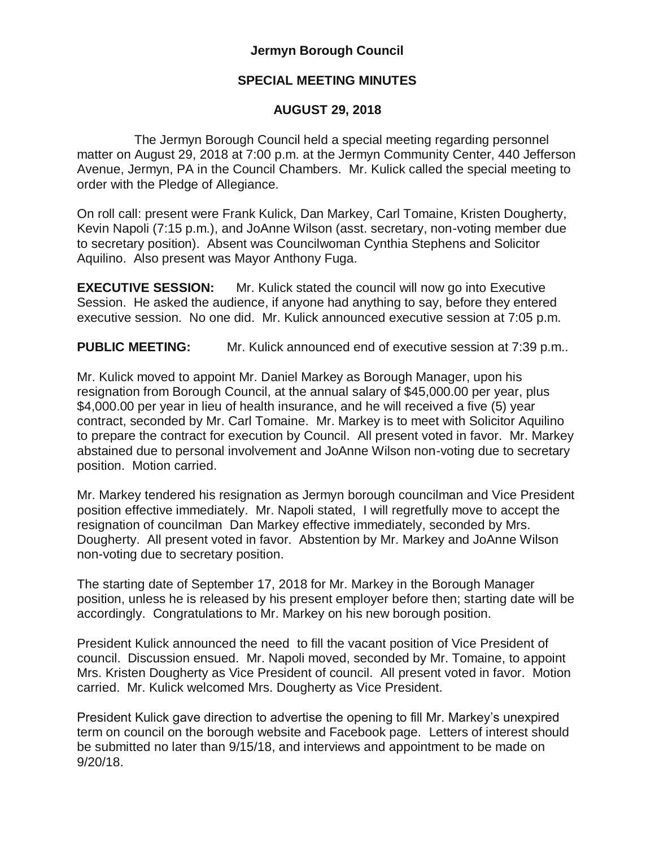## **Jermyn Borough Council**

## **SPECIAL MEETING MINUTES**

## **AUGUST 29, 2018**

 The Jermyn Borough Council held a special meeting regarding personnel matter on August 29, 2018 at 7:00 p.m. at the Jermyn Community Center, 440 Jefferson Avenue, Jermyn, PA in the Council Chambers. Mr. Kulick called the special meeting to order with the Pledge of Allegiance.

On roll call: present were Frank Kulick, Dan Markey, Carl Tomaine, Kristen Dougherty, Kevin Napoli (7:15 p.m.), and JoAnne Wilson (asst. secretary, non-voting member due to secretary position). Absent was Councilwoman Cynthia Stephens and Solicitor Aquilino. Also present was Mayor Anthony Fuga.

**EXECUTIVE SESSION:** Mr. Kulick stated the council will now go into Executive Session. He asked the audience, if anyone had anything to say, before they entered executive session. No one did. Mr. Kulick announced executive session at 7:05 p.m.

**PUBLIC MEETING:** Mr. Kulick announced end of executive session at 7:39 p.m..

Mr. Kulick moved to appoint Mr. Daniel Markey as Borough Manager, upon his resignation from Borough Council, at the annual salary of \$45,000.00 per year, plus \$4,000.00 per year in lieu of health insurance, and he will received a five (5) year contract, seconded by Mr. Carl Tomaine. Mr. Markey is to meet with Solicitor Aquilino to prepare the contract for execution by Council. All present voted in favor. Mr. Markey abstained due to personal involvement and JoAnne Wilson non-voting due to secretary position. Motion carried.

Mr. Markey tendered his resignation as Jermyn borough councilman and Vice President position effective immediately. Mr. Napoli stated, I will regretfully move to accept the resignation of councilman Dan Markey effective immediately, seconded by Mrs. Dougherty. All present voted in favor. Abstention by Mr. Markey and JoAnne Wilson non-voting due to secretary position.

The starting date of September 17, 2018 for Mr. Markey in the Borough Manager position, unless he is released by his present employer before then; starting date will be accordingly. Congratulations to Mr. Markey on his new borough position.

President Kulick announced the need to fill the vacant position of Vice President of council. Discussion ensued. Mr. Napoli moved, seconded by Mr. Tomaine, to appoint Mrs. Kristen Dougherty as Vice President of council. All present voted in favor. Motion carried. Mr. Kulick welcomed Mrs. Dougherty as Vice President.

President Kulick gave direction to advertise the opening to fill Mr. Markey's unexpired term on council on the borough website and Facebook page. Letters of interest should be submitted no later than 9/15/18, and interviews and appointment to be made on 9/20/18.